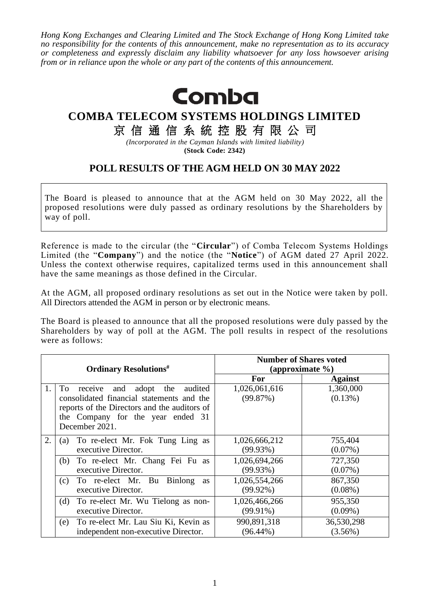*Hong Kong Exchanges and Clearing Limited and The Stock Exchange of Hong Kong Limited take no responsibility for the contents of this announcement, make no representation as to its accuracy or completeness and expressly disclaim any liability whatsoever for any loss howsoever arising from or in reliance upon the whole or any part of the contents of this announcement.*



## **COMBA TELECOM SYSTEMS HOLDINGS LIMITED**

京信通信系統控股有限公司

*(Incorporated in the Cayman Islands with limited liability)* **(Stock Code: 2342)**

## **POLL RESULTS OF THE AGM HELD ON 30 MAY 2022**

The Board is pleased to announce that at the AGM held on 30 May 2022, all the proposed resolutions were duly passed as ordinary resolutions by the Shareholders by way of poll.

Reference is made to the circular (the "**Circular**") of Comba Telecom Systems Holdings Limited (the "**Company**") and the notice (the "**Notice**") of AGM dated 27 April 2022. Unless the context otherwise requires, capitalized terms used in this announcement shall have the same meanings as those defined in the Circular.

At the AGM, all proposed ordinary resolutions as set out in the Notice were taken by poll. All Directors attended the AGM in person or by electronic means.

The Board is pleased to announce that all the proposed resolutions were duly passed by the Shareholders by way of poll at the AGM. The poll results in respect of the resolutions were as follows:

| <b>Ordinary Resolutions</b> # |                                                                                                                                                                                                     | <b>Number of Shares voted</b><br>(approximate %) |                         |
|-------------------------------|-----------------------------------------------------------------------------------------------------------------------------------------------------------------------------------------------------|--------------------------------------------------|-------------------------|
|                               |                                                                                                                                                                                                     | For                                              | <b>Against</b>          |
| 1.                            | To<br>the<br>receive<br>and<br>adopt<br>audited<br>consolidated financial statements and the<br>reports of the Directors and the auditors of<br>the Company for the year ended 31<br>December 2021. | 1,026,061,616<br>(99.87%)                        | 1,360,000<br>$(0.13\%)$ |
| 2.                            | To re-elect Mr. Fok Tung Ling as<br>$\left( a\right)$                                                                                                                                               | 1,026,666,212                                    | 755,404                 |
|                               | executive Director.                                                                                                                                                                                 | $(99.93\%)$                                      | $(0.07\%)$              |
|                               | To re-elect Mr. Chang Fei Fu as<br>(b)                                                                                                                                                              | 1,026,694,266                                    | 727,350                 |
|                               | executive Director.                                                                                                                                                                                 | $(99.93\%)$                                      | $(0.07\%)$              |
|                               | To re-elect Mr. Bu Binlong<br>(c)<br><b>as</b>                                                                                                                                                      | 1,026,554,266                                    | 867,350                 |
|                               | executive Director.                                                                                                                                                                                 | $(99.92\%)$                                      | $(0.08\%)$              |
|                               | To re-elect Mr. Wu Tielong as non-<br>(d)                                                                                                                                                           | 1,026,466,266                                    | 955,350                 |
|                               | executive Director.                                                                                                                                                                                 | $(99.91\%)$                                      | $(0.09\%)$              |
|                               | To re-elect Mr. Lau Siu Ki, Kevin as<br>(e)                                                                                                                                                         | 990,891,318                                      | 36,530,298              |
|                               | independent non-executive Director.                                                                                                                                                                 | $(96.44\%)$                                      | $(3.56\%)$              |